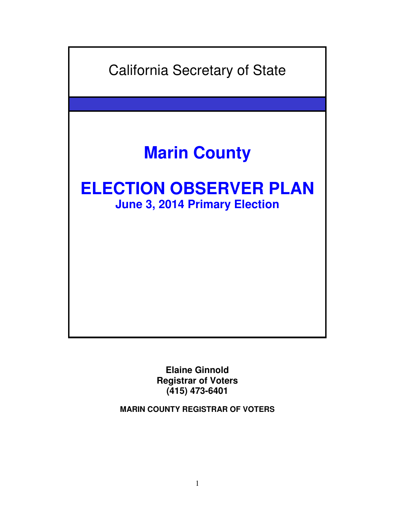

**Elaine Ginnold Registrar of Voters (415) 473-6401** 

**MARIN COUNTY REGISTRAR OF VOTERS**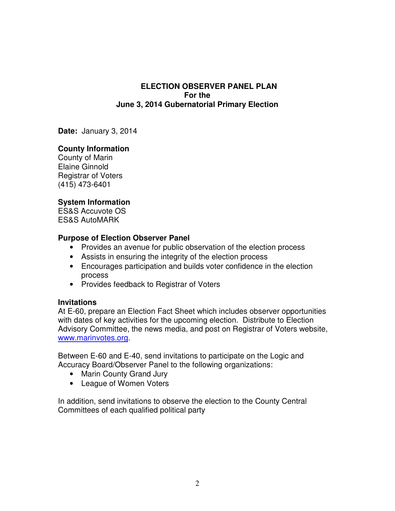### **ELECTION OBSERVER PANEL PLAN For the June 3, 2014 Gubernatorial Primary Election**

**Date:** January 3, 2014

## **County Information**

County of Marin Elaine Ginnold Registrar of Voters (415) 473-6401

## **System Information**

ES&S Accuvote OS ES&S AutoMARK

## **Purpose of Election Observer Panel**

- Provides an avenue for public observation of the election process
- Assists in ensuring the integrity of the election process
- Encourages participation and builds voter confidence in the election process
- Provides feedback to Registrar of Voters

### **Invitations**

At E-60, prepare an Election Fact Sheet which includes observer opportunities with dates of key activities for the upcoming election. Distribute to Election Advisory Committee, the news media, and post on Registrar of Voters website, www.marinvotes.org.

Between E-60 and E-40, send invitations to participate on the Logic and Accuracy Board/Observer Panel to the following organizations:

- Marin County Grand Jury
- League of Women Voters

In addition, send invitations to observe the election to the County Central Committees of each qualified political party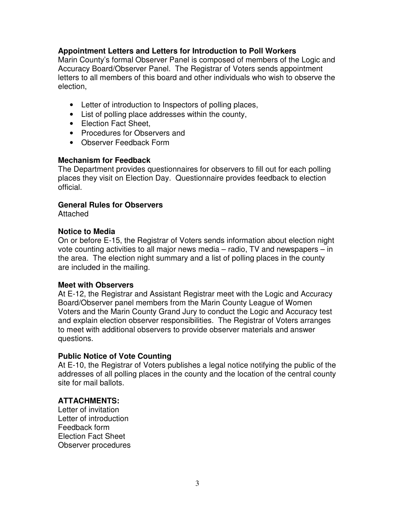## **Appointment Letters and Letters for Introduction to Poll Workers**

Marin County's formal Observer Panel is composed of members of the Logic and Accuracy Board/Observer Panel. The Registrar of Voters sends appointment letters to all members of this board and other individuals who wish to observe the election,

- Letter of introduction to Inspectors of polling places,
- List of polling place addresses within the county,
- Election Fact Sheet.
- Procedures for Observers and
- Observer Feedback Form

### **Mechanism for Feedback**

The Department provides questionnaires for observers to fill out for each polling places they visit on Election Day. Questionnaire provides feedback to election official.

# **General Rules for Observers**

Attached

## **Notice to Media**

On or before E-15, the Registrar of Voters sends information about election night vote counting activities to all major news media – radio, TV and newspapers – in the area. The election night summary and a list of polling places in the county are included in the mailing.

### **Meet with Observers**

At E-12, the Registrar and Assistant Registrar meet with the Logic and Accuracy Board/Observer panel members from the Marin County League of Women Voters and the Marin County Grand Jury to conduct the Logic and Accuracy test and explain election observer responsibilities. The Registrar of Voters arranges to meet with additional observers to provide observer materials and answer questions.

# **Public Notice of Vote Counting**

At E-10, the Registrar of Voters publishes a legal notice notifying the public of the addresses of all polling places in the county and the location of the central county site for mail ballots.

# **ATTACHMENTS:**

Letter of invitation Letter of introduction Feedback form Election Fact Sheet Observer procedures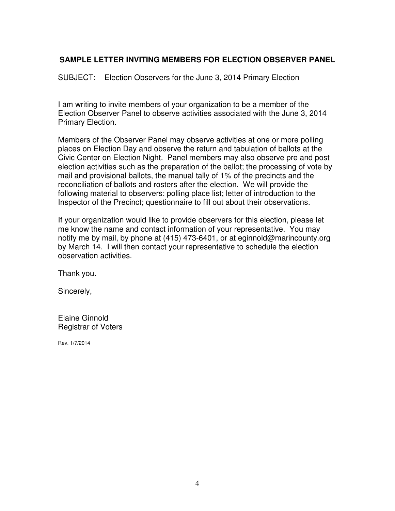# **SAMPLE LETTER INVITING MEMBERS FOR ELECTION OBSERVER PANEL**

SUBJECT: Election Observers for the June 3, 2014 Primary Election

I am writing to invite members of your organization to be a member of the Election Observer Panel to observe activities associated with the June 3, 2014 Primary Election.

Members of the Observer Panel may observe activities at one or more polling places on Election Day and observe the return and tabulation of ballots at the Civic Center on Election Night. Panel members may also observe pre and post election activities such as the preparation of the ballot; the processing of vote by mail and provisional ballots, the manual tally of 1% of the precincts and the reconciliation of ballots and rosters after the election. We will provide the following material to observers: polling place list; letter of introduction to the Inspector of the Precinct; questionnaire to fill out about their observations.

If your organization would like to provide observers for this election, please let me know the name and contact information of your representative. You may notify me by mail, by phone at (415) 473-6401, or at eginnold@marincounty.org by March 14. I will then contact your representative to schedule the election observation activities.

Thank you.

Sincerely,

Elaine Ginnold Registrar of Voters

Rev. 1/7/2014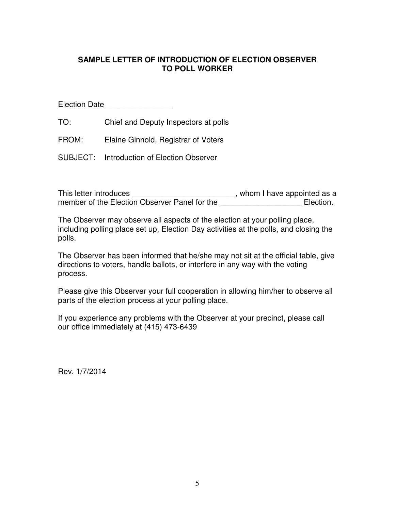# **SAMPLE LETTER OF INTRODUCTION OF ELECTION OBSERVER TO POLL WORKER**

Election Date\_\_\_\_\_\_\_\_\_\_\_\_\_\_\_\_

TO: Chief and Deputy Inspectors at polls

FROM: Elaine Ginnold, Registrar of Voters

SUBJECT: Introduction of Election Observer

This letter introduces \_\_\_\_\_\_\_\_\_\_\_\_\_\_\_\_\_\_\_\_\_\_\_\_\_\_, whom I have appointed as a member of the Election Observer Panel for the **with the annuming Election**.

The Observer may observe all aspects of the election at your polling place, including polling place set up, Election Day activities at the polls, and closing the polls.

The Observer has been informed that he/she may not sit at the official table, give directions to voters, handle ballots, or interfere in any way with the voting process.

Please give this Observer your full cooperation in allowing him/her to observe all parts of the election process at your polling place.

If you experience any problems with the Observer at your precinct, please call our office immediately at (415) 473-6439

Rev. 1/7/2014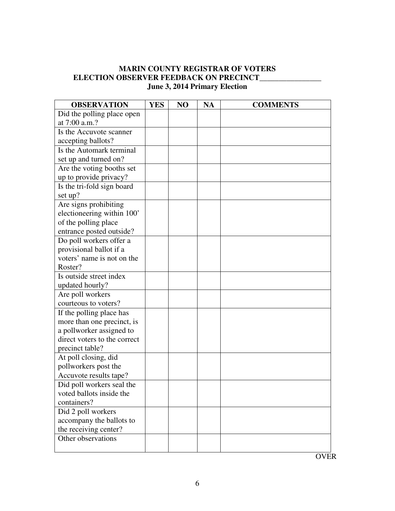## **MARIN COUNTY REGISTRAR OF VOTERS ELECTION OBSERVER FEEDBACK ON PRECINCT\_\_\_\_\_\_\_\_\_\_ June 3, 2014 Primary Election**

| <b>OBSERVATION</b>           | <b>YES</b> | N <sub>O</sub> | <b>NA</b> | <b>COMMENTS</b> |
|------------------------------|------------|----------------|-----------|-----------------|
| Did the polling place open   |            |                |           |                 |
| at 7:00 a.m.?                |            |                |           |                 |
| Is the Accuvote scanner      |            |                |           |                 |
| accepting ballots?           |            |                |           |                 |
| Is the Automark terminal     |            |                |           |                 |
| set up and turned on?        |            |                |           |                 |
| Are the voting booths set    |            |                |           |                 |
| up to provide privacy?       |            |                |           |                 |
| Is the tri-fold sign board   |            |                |           |                 |
| set up?                      |            |                |           |                 |
| Are signs prohibiting        |            |                |           |                 |
| electioneering within 100'   |            |                |           |                 |
| of the polling place         |            |                |           |                 |
| entrance posted outside?     |            |                |           |                 |
| Do poll workers offer a      |            |                |           |                 |
| provisional ballot if a      |            |                |           |                 |
| voters' name is not on the   |            |                |           |                 |
| Roster?                      |            |                |           |                 |
| Is outside street index      |            |                |           |                 |
| updated hourly?              |            |                |           |                 |
| Are poll workers             |            |                |           |                 |
| courteous to voters?         |            |                |           |                 |
| If the polling place has     |            |                |           |                 |
| more than one precinct, is   |            |                |           |                 |
| a pollworker assigned to     |            |                |           |                 |
| direct voters to the correct |            |                |           |                 |
| precinct table?              |            |                |           |                 |
| At poll closing, did         |            |                |           |                 |
| pollworkers post the         |            |                |           |                 |
| Accuvote results tape?       |            |                |           |                 |
| Did poll workers seal the    |            |                |           |                 |
| voted ballots inside the     |            |                |           |                 |
| containers?                  |            |                |           |                 |
| Did 2 poll workers           |            |                |           |                 |
| accompany the ballots to     |            |                |           |                 |
| the receiving center?        |            |                |           |                 |
| Other observations           |            |                |           |                 |
|                              |            |                |           |                 |

**OVER**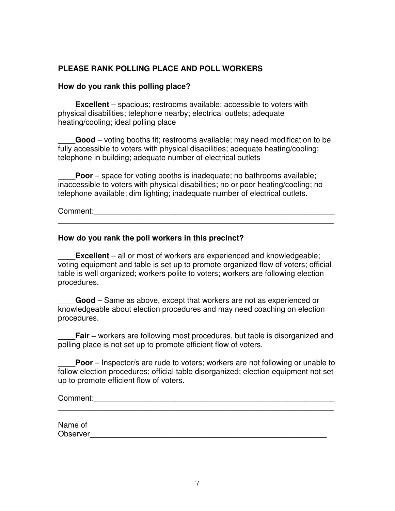# **PLEASE RANK POLLING PLACE AND POLL WORKERS**

#### **How do you rank this polling place?**

**Excellent** – spacious; restrooms available; accessible to voters with physical disabilities; telephone nearby; electrical outlets; adequate heating/cooling; ideal polling place

\_\_\_\_**Good** – voting booths fit; restrooms available; may need modification to be fully accessible to voters with physical disabilities; adequate heating/cooling; telephone in building; adequate number of electrical outlets

**Poor** – space for voting booths is inadequate; no bathrooms available; inaccessible to voters with physical disabilities; no or poor heating/cooling; no telephone available; dim lighting; inadequate number of electrical outlets.

Comment:\_\_\_\_\_\_\_\_\_\_\_\_\_\_\_\_\_\_\_\_\_\_\_\_\_\_\_\_\_\_\_\_\_\_\_\_\_\_\_\_\_\_\_\_\_\_\_\_\_\_\_\_\_\_\_\_

#### **How do you rank the poll workers in this precinct?**

**Excellent** – all or most of workers are experienced and knowledgeable; voting equipment and table is set up to promote organized flow of voters; official table is well organized; workers polite to voters; workers are following election procedures.

\_\_\_\_\_\_\_\_\_\_\_\_\_\_\_\_\_\_\_\_\_\_\_\_\_\_\_\_\_\_\_\_\_\_\_\_\_\_\_\_\_\_\_\_\_\_\_\_\_\_\_\_\_\_\_\_\_\_\_\_\_\_\_\_

\_\_\_\_**Good** – Same as above, except that workers are not as experienced or knowledgeable about election procedures and may need coaching on election procedures.

**Fair –** workers are following most procedures, but table is disorganized and polling place is not set up to promote efficient flow of voters.

**Poor** – Inspector/s are rude to voters; workers are not following or unable to follow election procedures; official table disorganized; election equipment not set up to promote efficient flow of voters.

Comment:\_\_\_\_\_\_\_\_\_\_\_\_\_\_\_\_\_\_\_\_\_\_\_\_\_\_\_\_\_\_\_\_\_\_\_\_\_\_\_\_\_\_\_\_\_\_\_\_\_\_\_\_\_\_\_\_

Name of Observer

\_\_\_\_\_\_\_\_\_\_\_\_\_\_\_\_\_\_\_\_\_\_\_\_\_\_\_\_\_\_\_\_\_\_\_\_\_\_\_\_\_\_\_\_\_\_\_\_\_\_\_\_\_\_\_\_\_\_\_\_\_\_\_\_